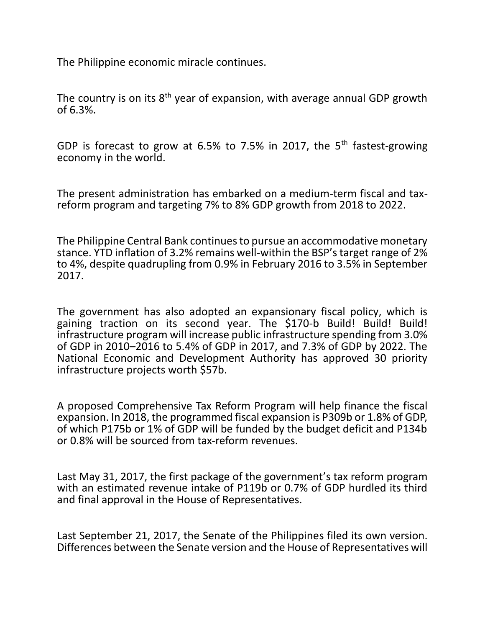The Philippine economic miracle continues.

The country is on its  $8<sup>th</sup>$  year of expansion, with average annual GDP growth of 6.3%.

GDP is forecast to grow at 6.5% to 7.5% in 2017, the 5<sup>th</sup> fastest-growing economy in the world.

The present administration has embarked on a medium-term fiscal and taxreform program and targeting 7% to 8% GDP growth from 2018 to 2022.

The Philippine Central Bank continues to pursue an accommodative monetary stance. YTD inflation of 3.2% remains well-within the BSP's target range of 2% to 4%, despite quadrupling from 0.9% in February 2016 to 3.5% in September 2017.

The government has also adopted an expansionary fiscal policy, which is gaining traction on its second year. The \$170-b Build! Build! Build! infrastructure program will increase public infrastructure spending from 3.0% of GDP in 2010–2016 to 5.4% of GDP in 2017, and 7.3% of GDP by 2022. The National Economic and Development Authority has approved 30 priority infrastructure projects worth \$57b.

A proposed Comprehensive Tax Reform Program will help finance the fiscal expansion. In 2018, the programmed fiscal expansion is P309b or 1.8% of GDP, of which P175b or 1% of GDP will be funded by the budget deficit and P134b or 0.8% will be sourced from tax-reform revenues.

Last May 31, 2017, the first package of the government's tax reform program with an estimated revenue intake of P119b or 0.7% of GDP hurdled its third and final approval in the House of Representatives.

Last September 21, 2017, the Senate of the Philippines filed its own version. Differences between the Senate version and the House of Representatives will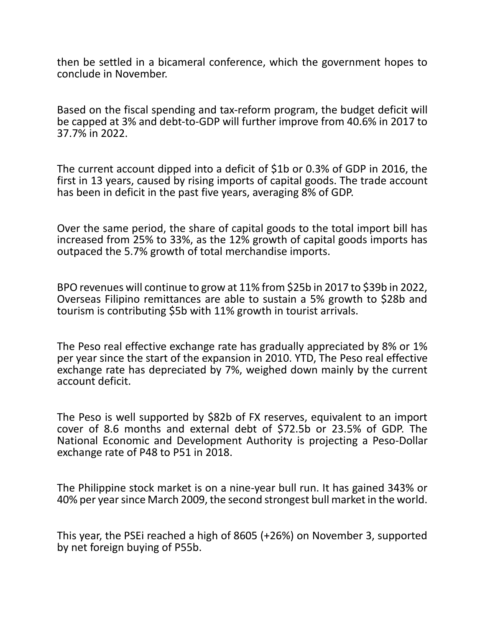then be settled in a bicameral conference, which the government hopes to conclude in November.

Based on the fiscal spending and tax-reform program, the budget deficit will be capped at 3% and debt-to-GDP will further improve from 40.6% in 2017 to 37.7% in 2022.

The current account dipped into a deficit of \$1b or 0.3% of GDP in 2016, the first in 13 years, caused by rising imports of capital goods. The trade account has been in deficit in the past five years, averaging 8% of GDP.

Over the same period, the share of capital goods to the total import bill has increased from 25% to 33%, as the 12% growth of capital goods imports has outpaced the 5.7% growth of total merchandise imports.

BPO revenues will continue to grow at 11% from \$25b in 2017 to \$39b in 2022, Overseas Filipino remittances are able to sustain a 5% growth to \$28b and tourism is contributing \$5b with 11% growth in tourist arrivals.

The Peso real effective exchange rate has gradually appreciated by 8% or 1% per year since the start of the expansion in 2010. YTD, The Peso real effective exchange rate has depreciated by 7%, weighed down mainly by the current account deficit.

The Peso is well supported by \$82b of FX reserves, equivalent to an import cover of 8.6 months and external debt of \$72.5b or 23.5% of GDP. The National Economic and Development Authority is projecting a Peso-Dollar exchange rate of P48 to P51 in 2018.

The Philippine stock market is on a nine-year bull run. It has gained 343% or 40% per year since March 2009, the second strongest bull market in the world.

This year, the PSEi reached a high of 8605 (+26%) on November 3, supported by net foreign buying of P55b.